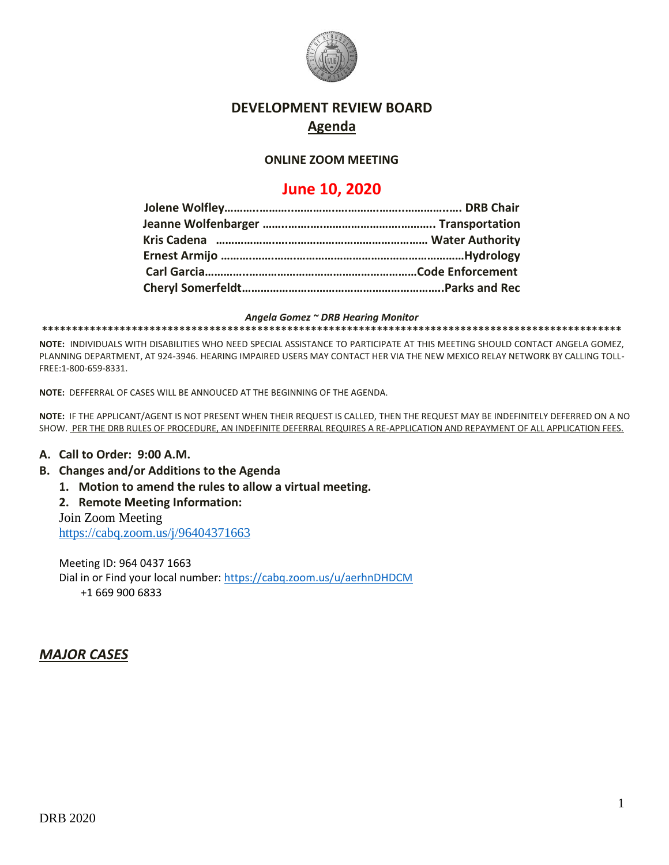

## **DEVELOPMENT REVIEW BOARD Agenda**

### **ONLINE ZOOM MEETING**

# **June 10, 2020**

*Angela Gomez ~ DRB Hearing Monitor*

**\*\*\*\*\*\*\*\*\*\*\*\*\*\*\*\*\*\*\*\*\*\*\*\*\*\*\*\*\*\*\*\*\*\*\*\*\*\*\*\*\*\*\*\*\*\*\*\*\*\*\*\*\*\*\*\*\*\*\*\*\*\*\*\*\*\*\*\*\*\*\*\*\*\*\*\*\*\*\*\*\*\*\*\*\*\*\*\*\*\*\*\*\*\*\*\*\***

**NOTE:** INDIVIDUALS WITH DISABILITIES WHO NEED SPECIAL ASSISTANCE TO PARTICIPATE AT THIS MEETING SHOULD CONTACT ANGELA GOMEZ, PLANNING DEPARTMENT, AT 924-3946. HEARING IMPAIRED USERS MAY CONTACT HER VIA THE NEW MEXICO RELAY NETWORK BY CALLING TOLL-FREE:1-800-659-8331.

**NOTE:** DEFFERRAL OF CASES WILL BE ANNOUCED AT THE BEGINNING OF THE AGENDA.

**NOTE:** IF THE APPLICANT/AGENT IS NOT PRESENT WHEN THEIR REQUEST IS CALLED, THEN THE REQUEST MAY BE INDEFINITELY DEFERRED ON A NO SHOW. PER THE DRB RULES OF PROCEDURE, AN INDEFINITE DEFERRAL REQUIRES A RE-APPLICATION AND REPAYMENT OF ALL APPLICATION FEES.

#### **A. Call to Order: 9:00 A.M.**

#### **B. Changes and/or Additions to the Agenda**

**1. Motion to amend the rules to allow a virtual meeting.**

**2. Remote Meeting Information:**

Join Zoom Meeting

<https://cabq.zoom.us/j/96404371663>

Meeting ID: 964 0437 1663 Dial in or Find your local number:<https://cabq.zoom.us/u/aerhnDHDCM> +1 669 900 6833

### *MAJOR CASES*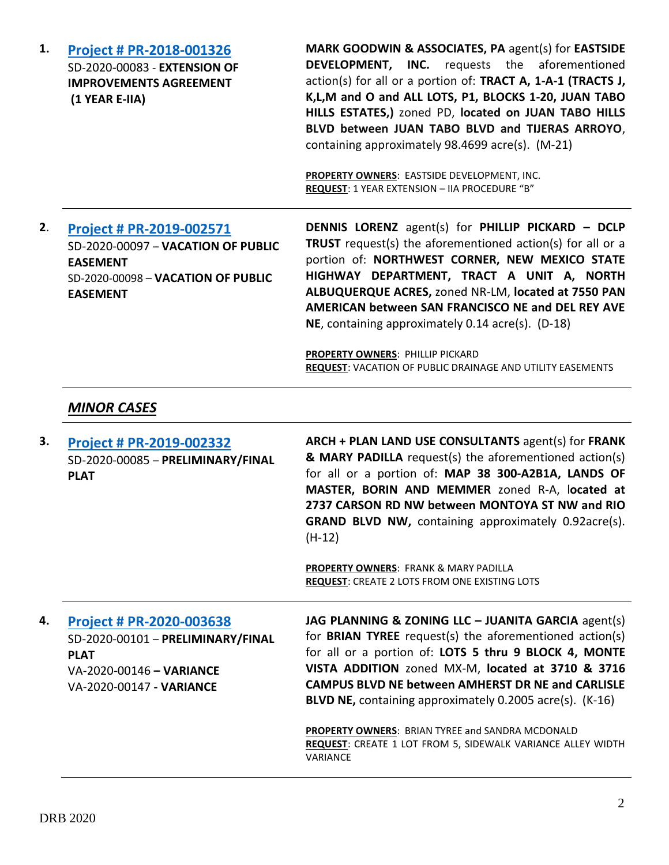| <b>Project # PR-2018-001326</b><br>SD-2020-00083 - EXTENSION OF<br><b>IMPROVEMENTS AGREEMENT</b><br>(1 YEAR E-IIA)                         | MARK GOODWIN & ASSOCIATES, PA agent(s) for EASTSIDE<br><b>DEVELOPMENT, INC.</b> requests the aforementioned<br>action(s) for all or a portion of: TRACT A, 1-A-1 (TRACTS J,<br>K, L, M and O and ALL LOTS, P1, BLOCKS 1-20, JUAN TABO<br>HILLS ESTATES,) zoned PD, located on JUAN TABO HILLS<br>BLVD between JUAN TABO BLVD and TIJERAS ARROYO,<br>containing approximately 98.4699 acre(s). (M-21)<br>PROPERTY OWNERS: EASTSIDE DEVELOPMENT, INC.<br>REQUEST: 1 YEAR EXTENSION - IIA PROCEDURE "B"     |
|--------------------------------------------------------------------------------------------------------------------------------------------|----------------------------------------------------------------------------------------------------------------------------------------------------------------------------------------------------------------------------------------------------------------------------------------------------------------------------------------------------------------------------------------------------------------------------------------------------------------------------------------------------------|
| Project # PR-2019-002571<br>SD-2020-00097 - VACATION OF PUBLIC<br><b>EASEMENT</b><br>SD-2020-00098 - VACATION OF PUBLIC<br><b>EASEMENT</b> | <b>DENNIS LORENZ</b> agent(s) for PHILLIP PICKARD - DCLP<br>TRUST request(s) the aforementioned action(s) for all or a<br>portion of: NORTHWEST CORNER, NEW MEXICO STATE<br>HIGHWAY DEPARTMENT, TRACT A UNIT A, NORTH<br>ALBUQUERQUE ACRES, zoned NR-LM, located at 7550 PAN<br>AMERICAN between SAN FRANCISCO NE and DEL REY AVE<br>NE, containing approximately 0.14 acre(s). (D-18)                                                                                                                   |
| <b>MINOR CASES</b>                                                                                                                         | <b>PROPERTY OWNERS: PHILLIP PICKARD</b><br>REQUEST: VACATION OF PUBLIC DRAINAGE AND UTILITY EASEMENTS                                                                                                                                                                                                                                                                                                                                                                                                    |
| Project # PR-2019-002332<br>SD-2020-00085 - PRELIMINARY/FINAL<br><b>PLAT</b>                                                               | ARCH + PLAN LAND USE CONSULTANTS agent(s) for FRANK<br>& MARY PADILLA request(s) the aforementioned action(s)<br>for all or a portion of: MAP 38 300-A2B1A, LANDS OF<br>MASTER, BORIN AND MEMMER zoned R-A, located at<br>2737 CARSON RD NW between MONTOYA ST NW and RIO<br><b>GRAND BLVD NW, containing approximately 0.92acre(s).</b><br>$(H-12)$                                                                                                                                                     |
|                                                                                                                                            | <b>PROPERTY OWNERS: FRANK &amp; MARY PADILLA</b><br><b>REQUEST: CREATE 2 LOTS FROM ONE EXISTING LOTS</b>                                                                                                                                                                                                                                                                                                                                                                                                 |
| Project # PR-2020-003638<br>SD-2020-00101 - PRELIMINARY/FINAL<br><b>PLAT</b><br>VA-2020-00146 - VARIANCE<br>VA-2020-00147 - VARIANCE       | JAG PLANNING & ZONING LLC - JUANITA GARCIA agent(s)<br>for <b>BRIAN TYREE</b> request(s) the aforementioned action(s)<br>for all or a portion of: LOTS 5 thru 9 BLOCK 4, MONTE<br>VISTA ADDITION zoned MX-M, located at 3710 & 3716<br><b>CAMPUS BLVD NE between AMHERST DR NE and CARLISLE</b><br>BLVD NE, containing approximately 0.2005 acre(s). (K-16)<br>PROPERTY OWNERS: BRIAN TYREE and SANDRA MCDONALD<br><b>REQUEST:</b> CREATE 1 LOT FROM 5, SIDEWALK VARIANCE ALLEY WIDTH<br><b>VARIANCE</b> |
|                                                                                                                                            |                                                                                                                                                                                                                                                                                                                                                                                                                                                                                                          |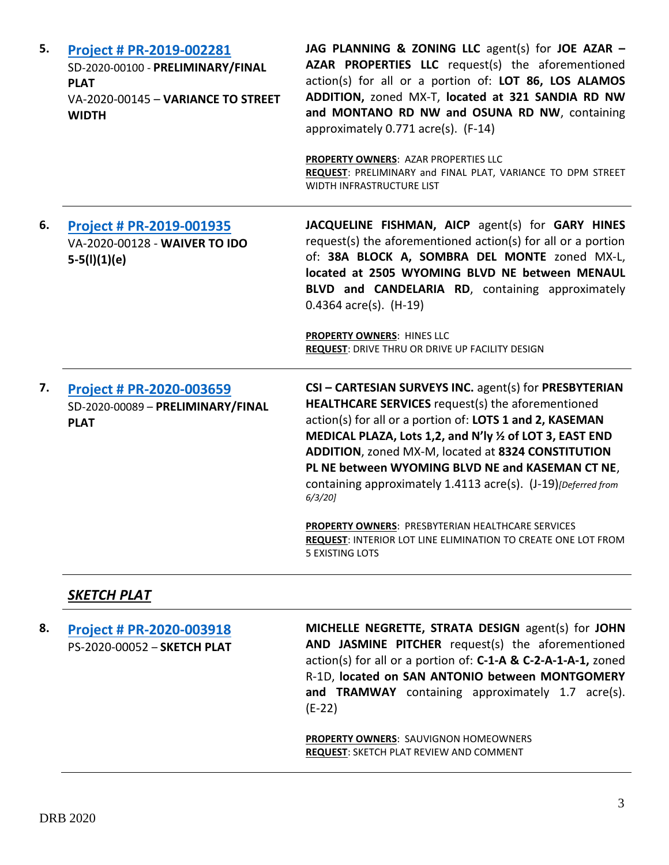| 5. | Project # PR-2019-002281<br>SD-2020-00100 - PRELIMINARY/FINAL<br><b>PLAT</b><br>VA-2020-00145 - VARIANCE TO STREET<br><b>WIDTH</b> | JAG PLANNING & ZONING LLC agent(s) for JOE AZAR -<br>AZAR PROPERTIES LLC request(s) the aforementioned<br>action(s) for all or a portion of: LOT 86, LOS ALAMOS<br>ADDITION, zoned MX-T, located at 321 SANDIA RD NW<br>and MONTANO RD NW and OSUNA RD NW, containing<br>approximately 0.771 acre(s). (F-14)<br>PROPERTY OWNERS: AZAR PROPERTIES LLC<br>REQUEST: PRELIMINARY and FINAL PLAT, VARIANCE TO DPM STREET<br>WIDTH INFRASTRUCTURE LIST                                                                                                                                            |
|----|------------------------------------------------------------------------------------------------------------------------------------|---------------------------------------------------------------------------------------------------------------------------------------------------------------------------------------------------------------------------------------------------------------------------------------------------------------------------------------------------------------------------------------------------------------------------------------------------------------------------------------------------------------------------------------------------------------------------------------------|
| 6. | <b>Project # PR-2019-001935</b><br>VA-2020-00128 - WAIVER TO IDO<br>$5-5(l)(1)(e)$                                                 | JACQUELINE FISHMAN, AICP agent(s) for GARY HINES<br>request(s) the aforementioned action(s) for all or a portion<br>of: 38A BLOCK A, SOMBRA DEL MONTE zoned MX-L,<br>located at 2505 WYOMING BLVD NE between MENAUL<br>BLVD and CANDELARIA RD, containing approximately<br>$0.4364$ acre(s). (H-19)<br><b>PROPERTY OWNERS: HINES LLC</b><br>REQUEST: DRIVE THRU OR DRIVE UP FACILITY DESIGN                                                                                                                                                                                                 |
| 7. | Project # PR-2020-003659<br>SD-2020-00089 - PRELIMINARY/FINAL<br><b>PLAT</b>                                                       | CSI - CARTESIAN SURVEYS INC. agent(s) for PRESBYTERIAN<br><b>HEALTHCARE SERVICES</b> request(s) the aforementioned<br>action(s) for all or a portion of: LOTS 1 and 2, KASEMAN<br>MEDICAL PLAZA, Lots 1,2, and N'ly 1/2 of LOT 3, EAST END<br>ADDITION, zoned MX-M, located at 8324 CONSTITUTION<br>PL NE between WYOMING BLVD NE and KASEMAN CT NE,<br>containing approximately 1.4113 acre(s). (J-19) [Deferred from<br>$6/3/20$ ]<br>PROPERTY OWNERS: PRESBYTERIAN HEALTHCARE SERVICES<br><b>REQUEST: INTERIOR LOT LINE ELIMINATION TO CREATE ONE LOT FROM</b><br><b>5 EXISTING LOTS</b> |

# *SKETCH PLAT*

| 8. | <b>Project # PR-2020-003918</b><br>PS-2020-00052 - SKETCH PLAT | MICHELLE NEGRETTE, STRATA DESIGN agent(s) for JOHN<br>AND JASMINE PITCHER request(s) the aforementioned<br>action(s) for all or a portion of: C-1-A & C-2-A-1-A-1, zoned<br>R-1D, located on SAN ANTONIO between MONTGOMERY<br>and TRAMWAY containing approximately 1.7 acre(s).<br>$(E-22)$ |
|----|----------------------------------------------------------------|----------------------------------------------------------------------------------------------------------------------------------------------------------------------------------------------------------------------------------------------------------------------------------------------|
|    |                                                                | <b>PROPERTY OWNERS: SAUVIGNON HOMEOWNERS</b><br><b>REQUEST: SKETCH PLAT REVIEW AND COMMENT</b>                                                                                                                                                                                               |